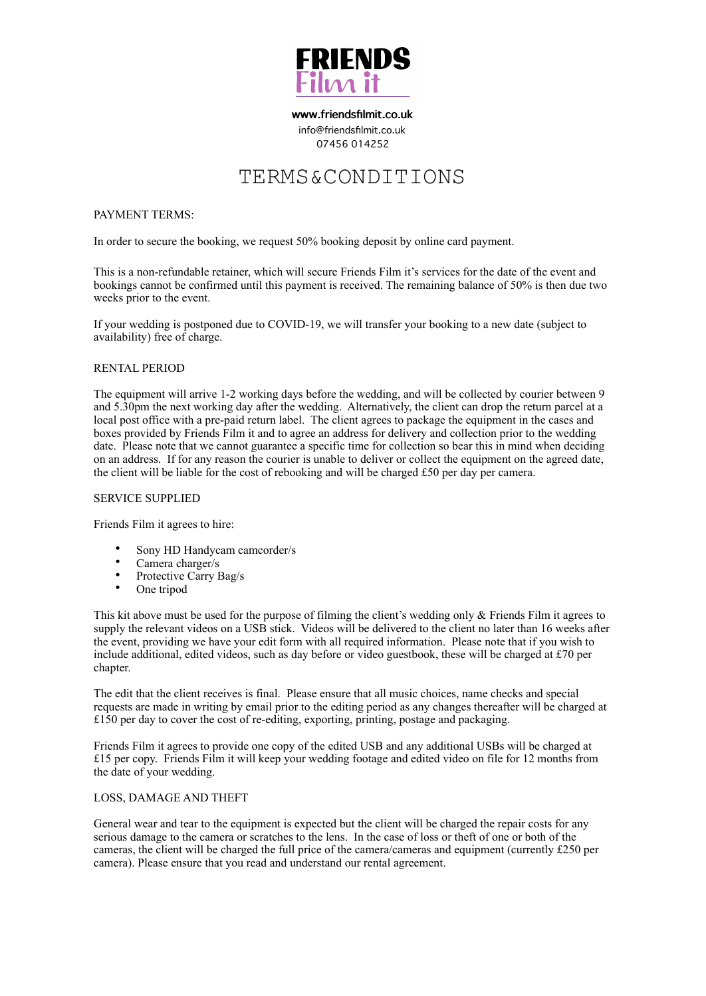

**[www.friendsfilmit.co.uk](http://www.friendsfilmit.co.uk)**  [info@friendsfilmit.co.uk](mailto:info@friendsfilmit.co.uk) 07456 014252

# TERMS&CONDITIONS

# PAYMENT TERMS:

In order to secure the booking, we request 50% booking deposit by online card payment.

This is a non-refundable retainer, which will secure Friends Film it's services for the date of the event and bookings cannot be confirmed until this payment is received. The remaining balance of 50% is then due two weeks prior to the event.

If your wedding is postponed due to COVID-19, we will transfer your booking to a new date (subject to availability) free of charge.

# RENTAL PERIOD

The equipment will arrive 1-2 working days before the wedding, and will be collected by courier between 9 and 5.30pm the next working day after the wedding. Alternatively, the client can drop the return parcel at a local post office with a pre-paid return label. The client agrees to package the equipment in the cases and boxes provided by Friends Film it and to agree an address for delivery and collection prior to the wedding date. Please note that we cannot guarantee a specific time for collection so bear this in mind when deciding on an address. If for any reason the courier is unable to deliver or collect the equipment on the agreed date, the client will be liable for the cost of rebooking and will be charged £50 per day per camera.

# SERVICE SUPPLIED

Friends Film it agrees to hire:

- Sony HD Handycam camcorder/s
- Camera charger/s
- Protective Carry Bag/s
- One tripod

This kit above must be used for the purpose of filming the client's wedding only  $\&$  Friends Film it agrees to supply the relevant videos on a USB stick. Videos will be delivered to the client no later than 16 weeks after the event, providing we have your edit form with all required information. Please note that if you wish to include additional, edited videos, such as day before or video guestbook, these will be charged at £70 per chapter.

The edit that the client receives is final. Please ensure that all music choices, name checks and special requests are made in writing by email prior to the editing period as any changes thereafter will be charged at £150 per day to cover the cost of re-editing, exporting, printing, postage and packaging.

Friends Film it agrees to provide one copy of the edited USB and any additional USBs will be charged at £15 per copy. Friends Film it will keep your wedding footage and edited video on file for 12 months from the date of your wedding.

#### LOSS, DAMAGE AND THEFT

General wear and tear to the equipment is expected but the client will be charged the repair costs for any serious damage to the camera or scratches to the lens. In the case of loss or theft of one or both of the cameras, the client will be charged the full price of the camera/cameras and equipment (currently £250 per camera). Please ensure that you read and understand our rental agreement.